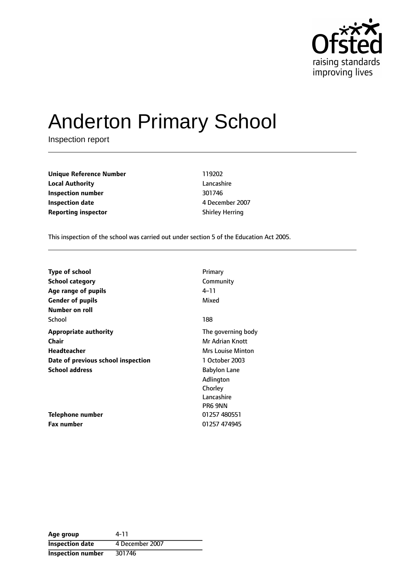

# Anderton Primary School

Inspection report

**Unique Reference Number** 119202 **Local Authority** Lancashire **Inspection number** 301746 **Inspection date** 4 December 2007 **Reporting inspector Shirley Herring** 

This inspection of the school was carried out under section 5 of the Education Act 2005.

| <b>Type of school</b>              | Primary                  |
|------------------------------------|--------------------------|
| <b>School category</b>             | Community                |
| Age range of pupils                | 4–11                     |
| <b>Gender of pupils</b>            | Mixed                    |
| Number on roll                     |                          |
| School                             | 188                      |
| <b>Appropriate authority</b>       | The governing body       |
| Chair                              | Mr Adrian Knott          |
| Headteacher                        | <b>Mrs Louise Minton</b> |
| Date of previous school inspection | 1 October 2003           |
| <b>School address</b>              | <b>Babylon Lane</b>      |
|                                    | Adlington                |
|                                    | Chorley                  |
|                                    | Lancashire               |
|                                    | PR6 9NN                  |
| Telephone number                   | 01257 480551             |
| <b>Fax number</b>                  | 01257 474945             |

| Age group                | 4-11            |
|--------------------------|-----------------|
| <b>Inspection date</b>   | 4 December 2007 |
| <b>Inspection number</b> | 301746          |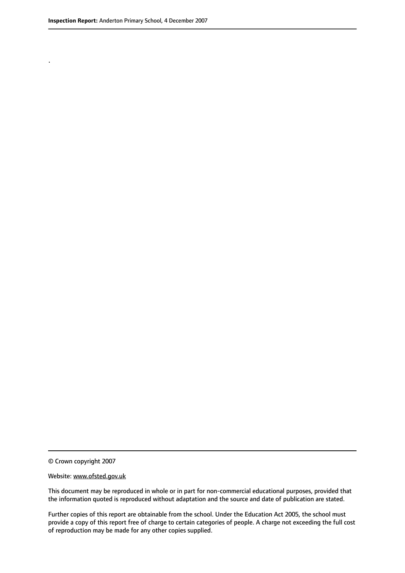.

This document may be reproduced in whole or in part for non-commercial educational purposes, provided that the information quoted is reproduced without adaptation and the source and date of publication are stated.

Further copies of this report are obtainable from the school. Under the Education Act 2005, the school must provide a copy of this report free of charge to certain categories of people. A charge not exceeding the full cost of reproduction may be made for any other copies supplied.

<sup>©</sup> Crown copyright 2007

Website: www.ofsted.gov.uk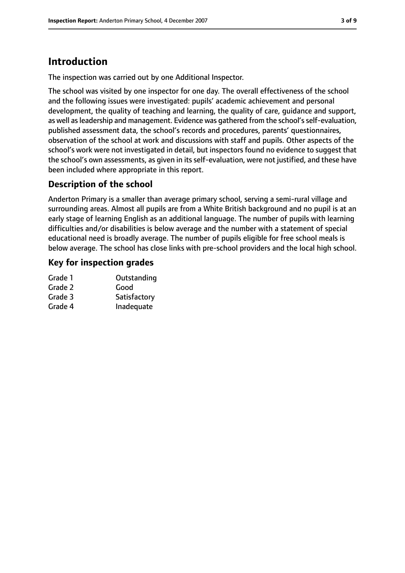## **Introduction**

The inspection was carried out by one Additional Inspector.

The school was visited by one inspector for one day. The overall effectiveness of the school and the following issues were investigated: pupils' academic achievement and personal development, the quality of teaching and learning, the quality of care, guidance and support, as well as leadership and management. Evidence was gathered from the school's self-evaluation, published assessment data, the school's records and procedures, parents' questionnaires, observation of the school at work and discussions with staff and pupils. Other aspects of the school's work were not investigated in detail, but inspectors found no evidence to suggest that the school's own assessments, as given in its self-evaluation, were not justified, and these have been included where appropriate in this report.

#### **Description of the school**

Anderton Primary is a smaller than average primary school, serving a semi-rural village and surrounding areas. Almost all pupils are from a White British background and no pupil is at an early stage of learning English as an additional language. The number of pupils with learning difficulties and/or disabilities is below average and the number with a statement of special educational need is broadly average. The number of pupils eligible for free school meals is below average. The school has close links with pre-school providers and the local high school.

#### **Key for inspection grades**

| Grade 1 | Outstanding  |
|---------|--------------|
| Grade 2 | Good         |
| Grade 3 | Satisfactory |
| Grade 4 | Inadequate   |
|         |              |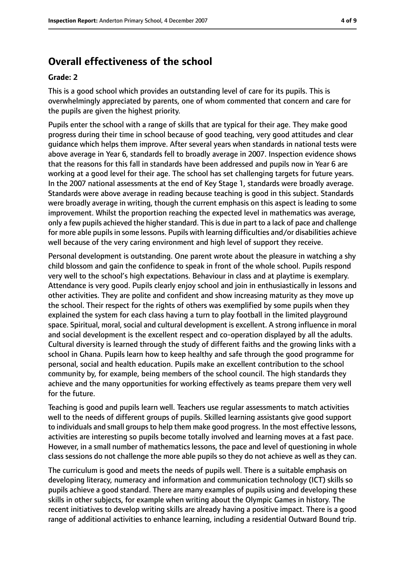#### **Overall effectiveness of the school**

#### **Grade: 2**

This is a good school which provides an outstanding level of care for its pupils. This is overwhelmingly appreciated by parents, one of whom commented that concern and care for the pupils are given the highest priority.

Pupils enter the school with a range of skills that are typical for their age. They make good progress during their time in school because of good teaching, very good attitudes and clear guidance which helps them improve. After several years when standards in national tests were above average in Year 6, standards fell to broadly average in 2007. Inspection evidence shows that the reasons for this fall in standards have been addressed and pupils now in Year 6 are working at a good level for their age. The school has set challenging targets for future years. In the 2007 national assessments at the end of Key Stage 1, standards were broadly average. Standards were above average in reading because teaching is good in this subject. Standards were broadly average in writing, though the current emphasis on this aspect is leading to some improvement. Whilst the proportion reaching the expected level in mathematics was average, only a few pupils achieved the higher standard. This is due in part to a lack of pace and challenge for more able pupils in some lessons. Pupils with learning difficulties and/or disabilities achieve well because of the very caring environment and high level of support they receive.

Personal development is outstanding. One parent wrote about the pleasure in watching a shy child blossom and gain the confidence to speak in front of the whole school. Pupils respond very well to the school's high expectations. Behaviour in class and at playtime is exemplary. Attendance is very good. Pupils clearly enjoy school and join in enthusiastically in lessons and other activities. They are polite and confident and show increasing maturity as they move up the school. Their respect for the rights of others was exemplified by some pupils when they explained the system for each class having a turn to play football in the limited playground space. Spiritual, moral, social and cultural development is excellent. A strong influence in moral and social development is the excellent respect and co-operation displayed by all the adults. Cultural diversity is learned through the study of different faiths and the growing links with a school in Ghana. Pupils learn how to keep healthy and safe through the good programme for personal, social and health education. Pupils make an excellent contribution to the school community by, for example, being members of the school council. The high standards they achieve and the many opportunities for working effectively as teams prepare them very well for the future.

Teaching is good and pupils learn well. Teachers use regular assessments to match activities well to the needs of different groups of pupils. Skilled learning assistants give good support to individuals and small groups to help them make good progress. In the most effective lessons, activities are interesting so pupils become totally involved and learning moves at a fast pace. However, in a small number of mathematics lessons, the pace and level of questioning in whole class sessions do not challenge the more able pupils so they do not achieve as well as they can.

The curriculum is good and meets the needs of pupils well. There is a suitable emphasis on developing literacy, numeracy and information and communication technology (ICT) skills so pupils achieve a good standard. There are many examples of pupils using and developing these skills in other subjects, for example when writing about the Olympic Games in history. The recent initiatives to develop writing skills are already having a positive impact. There is a good range of additional activities to enhance learning, including a residential Outward Bound trip.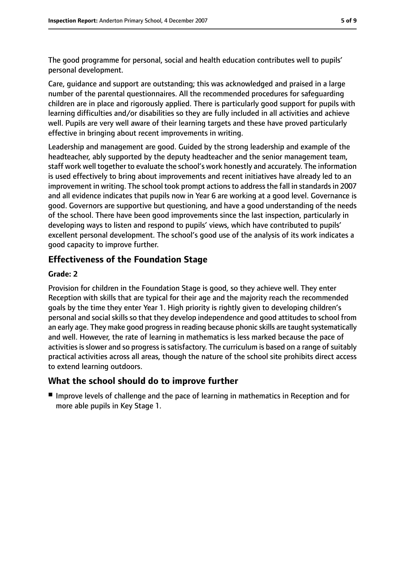The good programme for personal, social and health education contributes well to pupils' personal development.

Care, guidance and support are outstanding; this was acknowledged and praised in a large number of the parental questionnaires. All the recommended procedures for safeguarding children are in place and rigorously applied. There is particularly good support for pupils with learning difficulties and/or disabilities so they are fully included in all activities and achieve well. Pupils are very well aware of their learning targets and these have proved particularly effective in bringing about recent improvements in writing.

Leadership and management are good. Guided by the strong leadership and example of the headteacher, ably supported by the deputy headteacher and the senior management team, staff work well together to evaluate the school's work honestly and accurately. The information is used effectively to bring about improvements and recent initiatives have already led to an improvement in writing. The school took prompt actions to address the fall in standards in 2007 and all evidence indicates that pupils now in Year 6 are working at a good level. Governance is good. Governors are supportive but questioning, and have a good understanding of the needs of the school. There have been good improvements since the last inspection, particularly in developing ways to listen and respond to pupils' views, which have contributed to pupils' excellent personal development. The school's good use of the analysis of its work indicates a good capacity to improve further.

#### **Effectiveness of the Foundation Stage**

#### **Grade: 2**

Provision for children in the Foundation Stage is good, so they achieve well. They enter Reception with skills that are typical for their age and the majority reach the recommended goals by the time they enter Year 1. High priority is rightly given to developing children's personal and social skills so that they develop independence and good attitudes to school from an early age. They make good progress in reading because phonic skills are taught systematically and well. However, the rate of learning in mathematics is less marked because the pace of activities is slower and so progress is satisfactory. The curriculum is based on a range of suitably practical activities across all areas, though the nature of the school site prohibits direct access to extend learning outdoors.

#### **What the school should do to improve further**

■ Improve levels of challenge and the pace of learning in mathematics in Reception and for more able pupils in Key Stage 1.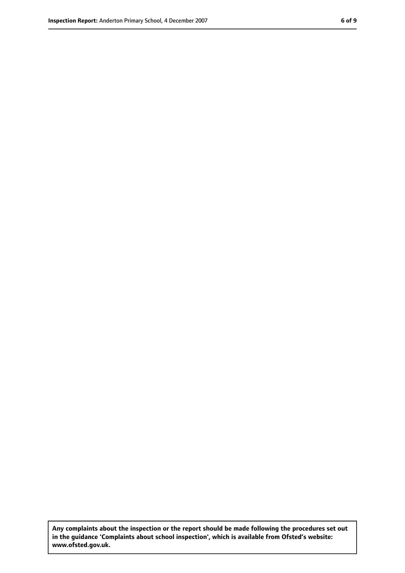**Any complaints about the inspection or the report should be made following the procedures set out in the guidance 'Complaints about school inspection', which is available from Ofsted's website: www.ofsted.gov.uk.**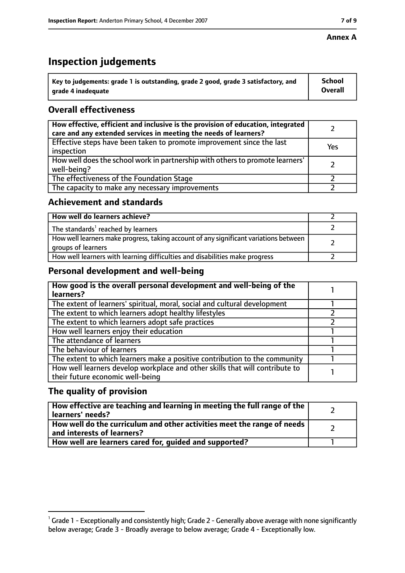#### **Annex A**

## **Inspection judgements**

| $^{\backprime}$ Key to judgements: grade 1 is outstanding, grade 2 good, grade 3 satisfactory, and | <b>School</b>  |
|----------------------------------------------------------------------------------------------------|----------------|
| arade 4 inadequate                                                                                 | <b>Overall</b> |

#### **Overall effectiveness**

| How effective, efficient and inclusive is the provision of education, integrated<br>care and any extended services in meeting the needs of learners? |     |
|------------------------------------------------------------------------------------------------------------------------------------------------------|-----|
| Effective steps have been taken to promote improvement since the last<br>inspection                                                                  | Yes |
| How well does the school work in partnership with others to promote learners'<br>well-being?                                                         |     |
| The effectiveness of the Foundation Stage                                                                                                            |     |
| The capacity to make any necessary improvements                                                                                                      |     |

#### **Achievement and standards**

| How well do learners achieve?                                                                               |  |
|-------------------------------------------------------------------------------------------------------------|--|
| The standards <sup>1</sup> reached by learners                                                              |  |
| How well learners make progress, taking account of any significant variations between<br>groups of learners |  |
| How well learners with learning difficulties and disabilities make progress                                 |  |

#### **Personal development and well-being**

| How good is the overall personal development and well-being of the<br>learners?                                  |  |
|------------------------------------------------------------------------------------------------------------------|--|
| The extent of learners' spiritual, moral, social and cultural development                                        |  |
| The extent to which learners adopt healthy lifestyles                                                            |  |
| The extent to which learners adopt safe practices                                                                |  |
| How well learners enjoy their education                                                                          |  |
| The attendance of learners                                                                                       |  |
| The behaviour of learners                                                                                        |  |
| The extent to which learners make a positive contribution to the community                                       |  |
| How well learners develop workplace and other skills that will contribute to<br>their future economic well-being |  |

#### **The quality of provision**

| How effective are teaching and learning in meeting the full range of the<br>learners' needs?          |  |
|-------------------------------------------------------------------------------------------------------|--|
| How well do the curriculum and other activities meet the range of needs<br>and interests of learners? |  |
| How well are learners cared for, guided and supported?                                                |  |

 $^1$  Grade 1 - Exceptionally and consistently high; Grade 2 - Generally above average with none significantly below average; Grade 3 - Broadly average to below average; Grade 4 - Exceptionally low.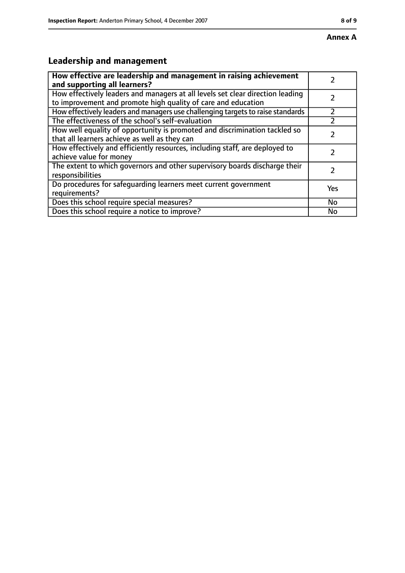## **Leadership and management**

| How effective are leadership and management in raising achievement<br>and supporting all learners?                                              |     |
|-------------------------------------------------------------------------------------------------------------------------------------------------|-----|
| How effectively leaders and managers at all levels set clear direction leading<br>to improvement and promote high quality of care and education |     |
| How effectively leaders and managers use challenging targets to raise standards                                                                 |     |
| The effectiveness of the school's self-evaluation                                                                                               |     |
| How well equality of opportunity is promoted and discrimination tackled so<br>that all learners achieve as well as they can                     |     |
| How effectively and efficiently resources, including staff, are deployed to<br>achieve value for money                                          |     |
| The extent to which governors and other supervisory boards discharge their<br>responsibilities                                                  |     |
| Do procedures for safequarding learners meet current government<br>requirements?                                                                | Yes |
| Does this school require special measures?                                                                                                      | No  |
| Does this school require a notice to improve?                                                                                                   | No  |